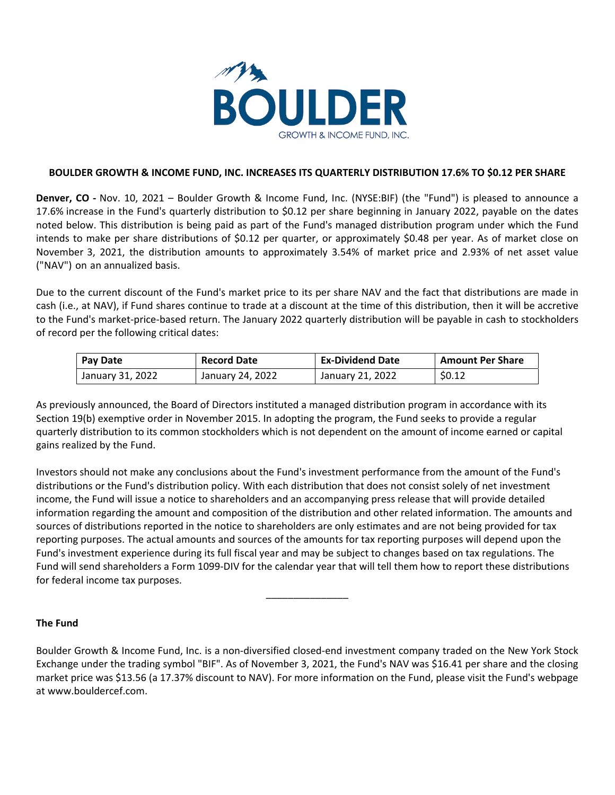

### **BOULDER GROWTH & INCOME FUND, INC. INCREASES ITS QUARTERLY DISTRIBUTION 17.6% TO \$0.12 PER SHARE**

**Denver, CO ‐** Nov. 10, 2021 – Boulder Growth & Income Fund, Inc. (NYSE:BIF) (the "Fund") is pleased to announce a 17.6% increase in the Fund's quarterly distribution to \$0.12 per share beginning in January 2022, payable on the dates noted below. This distribution is being paid as part of the Fund's managed distribution program under which the Fund intends to make per share distributions of \$0.12 per quarter, or approximately \$0.48 per year. As of market close on November 3, 2021, the distribution amounts to approximately 3.54% of market price and 2.93% of net asset value ("NAV") on an annualized basis.

Due to the current discount of the Fund's market price to its per share NAV and the fact that distributions are made in cash (i.e., at NAV), if Fund shares continue to trade at a discount at the time of this distribution, then it will be accretive to the Fund's market-price-based return. The January 2022 quarterly distribution will be payable in cash to stockholders of record per the following critical dates:

| Pay Date         | <b>Record Date</b> | <b>Ex-Dividend Date</b> | <b>Amount Per Share</b> |
|------------------|--------------------|-------------------------|-------------------------|
| January 31, 2022 | January 24, 2022   | January 21, 2022        | \$0.12                  |

As previously announced, the Board of Directors instituted a managed distribution program in accordance with its Section 19(b) exemptive order in November 2015. In adopting the program, the Fund seeks to provide a regular quarterly distribution to its common stockholders which is not dependent on the amount of income earned or capital gains realized by the Fund.

Investors should not make any conclusions about the Fund's investment performance from the amount of the Fund's distributions or the Fund's distribution policy. With each distribution that does not consist solely of net investment income, the Fund will issue a notice to shareholders and an accompanying press release that will provide detailed information regarding the amount and composition of the distribution and other related information. The amounts and sources of distributions reported in the notice to shareholders are only estimates and are not being provided for tax reporting purposes. The actual amounts and sources of the amounts for tax reporting purposes will depend upon the Fund's investment experience during its full fiscal year and may be subject to changes based on tax regulations. The Fund will send shareholders a Form 1099‐DIV for the calendar year that will tell them how to report these distributions for federal income tax purposes.

\_\_\_\_\_\_\_\_\_\_\_\_\_\_\_

## **The Fund**

Boulder Growth & Income Fund, Inc. is a non‐diversified closed‐end investment company traded on the New York Stock Exchange under the trading symbol "BIF". As of November 3, 2021, the Fund's NAV was \$16.41 per share and the closing market price was \$13.56 (a 17.37% discount to NAV). For more information on the Fund, please visit the Fund's webpage at www.bouldercef.com.